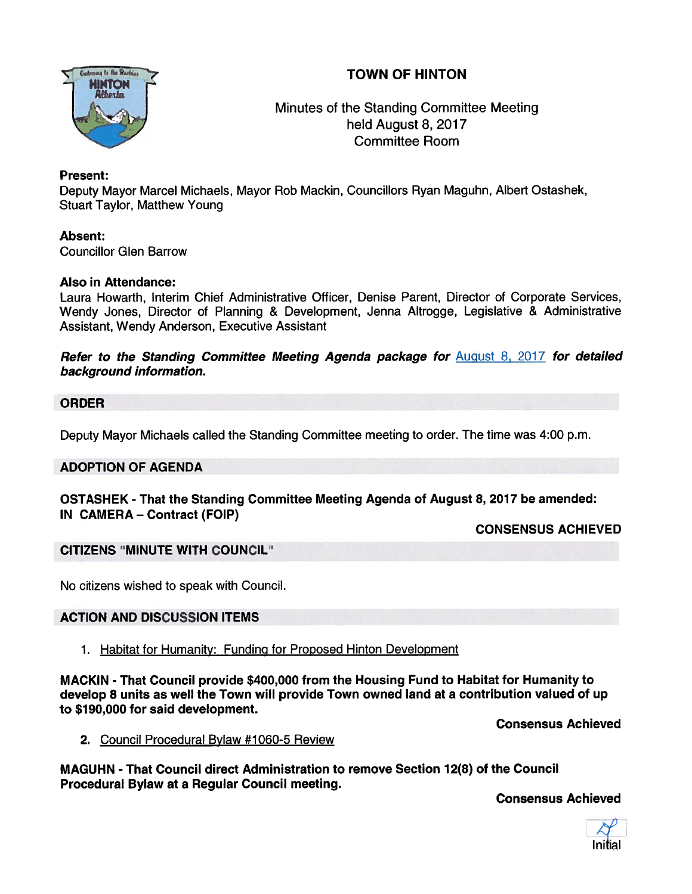# TOWN OF HINTON



# Minutes of the Standing Committee Meeting held August 8, 2017 Committee Room

## Present:

Deputy Mayor Marcel Michaels, Mayor Rob Mackin, Councillors Ryan Maguhn, Albert Ostashek, Stuart Taylor, Matthew Young

## Absent:

Councillor Glen Barrow

## Also in Attendance:

Laura Howarth, Interim Chief Administrative Officer, Denise Parent, Director of Corporate Services, Wendy Jones, Director of Planning & Development, Jenna Altrogge, Legislative & Administrative Assistant, Wendy Anderson, Executive Assistant

Refer to the Standing Committee Meeting Agenda package for August 8, 2017 for detailed background information.

## ORDER

Deputy Mayor Michaels called the Standing Committee meeting to order. The time was 4:00 p.m.

## ADOPTION OF AGENDA

## OSTASHEK - That the Standing Committee Meeting Agenda of August 8, 2017 be amended: IN CAMERA — Contract (FOIP)

CONSENSUS ACHIEVED

## CITIZENS "MINUTE WITH COUNCIL"

No citizens wished to speak with Council.

## ACTION AND DISCUSSION ITEMS

1. Habitat for Humanity: Funding for Proposed Hinton Development

MACKIN - That Council provide \$400,000 from the Housing Fund to Habitat for Humanity to develop 8 units as well the Town will provide Town owned land at <sup>a</sup> contribution valued of up to \$190,000 for said development.

Consensus Achieved

2. Council Procedural Bylaw #1060-5 Review

MAGUHN - That Council direct Administration to remove Section 12(8) of the Council Procedural Bylaw at <sup>a</sup> Regular Council meeting.

Consensus Achieved